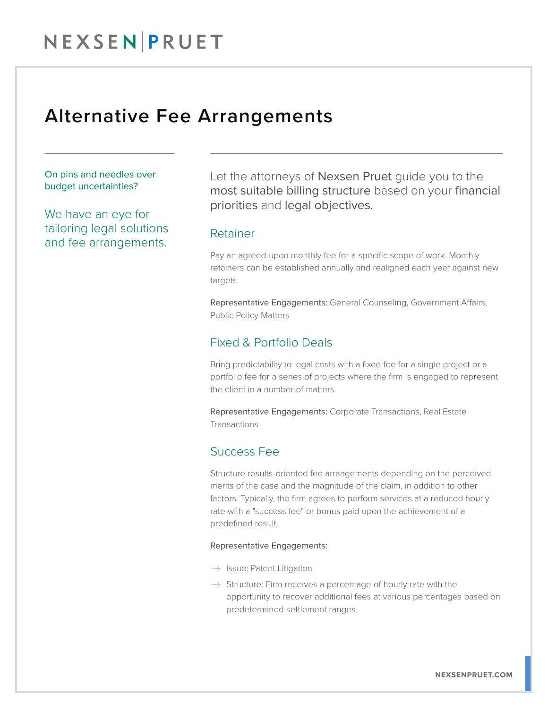## Alternative Fee Arrangements

On pins and needles over budget uncertainties?

We have an eye for tailoring legal solutions and fee arrangements.

Let the attorneys of Nexsen Pruet quide you to the most suitable billing structure based on your financial priorities and legal objectives.

#### Retainer

Pay an agreed-upon monthly fee for a specific scope of work. Monthly retainers can be established annually and realigned each year against new targets.

Representative Engagements: General Counseling, Government Affairs, Public Policy Matters

#### Fixed & Portfolio Deals

Bring predictability to legal costs with a fixed fee for a single project or a portfolio fee for a series of projects where the firm is engaged to represent the client in a number of matters.

Representative Engagements: Corporate Transactions, Real Estate Transactions

#### Success Fee

Structure results-oriented fee arrangements depending on the perceived merits of the case and the magnitude of the claim, in addition to other factors. Typically, the firm agrees to perform services at a reduced hourly rate with a "success fee" or bonus paid upon the achievement of a predefined result.

#### Representative Engagements:

- $\rightarrow$  Issue: Patent Litigation
- $\rightarrow$  Structure: Firm receives a percentage of hourly rate with the opportunity to recover additional fees at various percentages based on predetermined settlement ranges.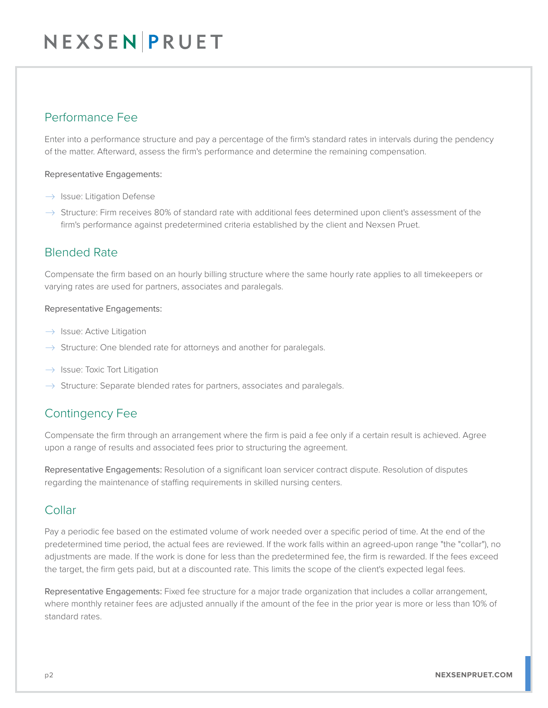# NEXSEN PRUET

### Performance Fee

Enter into a performance structure and pay a percentage of the firm's standard rates in intervals during the pendency of the matter. Afterward, assess the firm's performance and determine the remaining compensation.

Representative Engagements:

- $\rightarrow$  Issue: Litigation Defense
- $\rightarrow$  Structure: Firm receives 80% of standard rate with additional fees determined upon client's assessment of the firm's performance against predetermined criteria established by the client and Nexsen Pruet.

#### Blended Rate

Compensate the firm based on an hourly billing structure where the same hourly rate applies to all timekeepers or varying rates are used for partners, associates and paralegals.

#### Representative Engagements:

- $\rightarrow$  Issue: Active Litigation
- $\rightarrow$  Structure: One blended rate for attorneys and another for paralegals.
- $\rightarrow$  Issue: Toxic Tort Litigation
- $\rightarrow$  Structure: Separate blended rates for partners, associates and paralegals.

### Contingency Fee

Compensate the firm through an arrangement where the firm is paid a fee only if a certain result is achieved. Agree upon a range of results and associated fees prior to structuring the agreement.

Representative Engagements: Resolution of a significant loan servicer contract dispute. Resolution of disputes regarding the maintenance of staffing requirements in skilled nursing centers.

#### Collar

Pay a periodic fee based on the estimated volume of work needed over a specific period of time. At the end of the predetermined time period, the actual fees are reviewed. If the work falls within an agreed-upon range "the "collar"), no adjustments are made. If the work is done for less than the predetermined fee, the firm is rewarded. If the fees exceed the target, the firm gets paid, but at a discounted rate. This limits the scope of the client's expected legal fees.

Representative Engagements: Fixed fee structure for a major trade organization that includes a collar arrangement, where monthly retainer fees are adjusted annually if the amount of the fee in the prior year is more or less than 10% of standard rates.